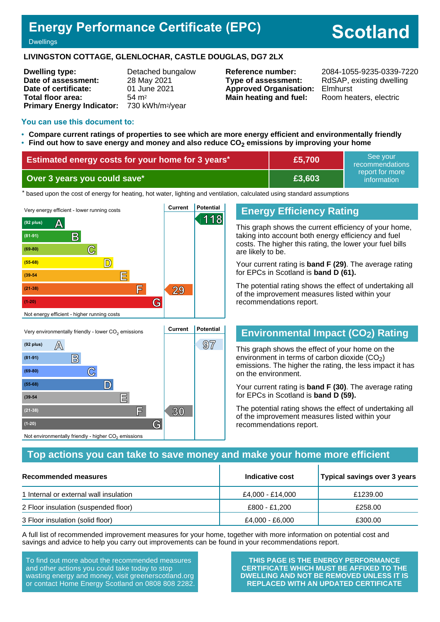# **Energy Performance Certificate (EPC)**

# **Scotland**

**Dwellings** 

#### **LIVINGSTON COTTAGE, GLENLOCHAR, CASTLE DOUGLAS, DG7 2LX**

| <b>Dwelling type:</b>                     | Detached bungalow  |
|-------------------------------------------|--------------------|
| Date of assessment:                       | 28 May 2021        |
| Date of certificate:                      | 01 June 2021       |
| Total floor area:                         | $54 \; \text{m}^2$ |
| Primary Energy Indicator: 730 kWh/m2/year |                    |

**Type of assessment:** RdSAP, existing dwelling **Approved Organisation:** Elmhurst **Main heating and fuel:** Room heaters, electric

**Reference number:** 2084-1055-9235-0339-7220

#### **You can use this document to:**

- **Compare current ratings of properties to see which are more energy efficient and environmentally friendly**
- **Find out how to save energy and money and also reduce CO2 emissions by improving your home**

| Estimated energy costs for your home for 3 years* | £5,700 | ' See vour<br>recommendations  |
|---------------------------------------------------|--------|--------------------------------|
| Over 3 years you could save*                      | E3.603 | report for more<br>information |

the based upon the cost of energy for heating, hot water, lighting and ventilation, calculated using standard assumptions



## **(92 plus) A 97 (81-91) B (69-80) C (55-68) D (39-54 E F 30 (21-38) (1-20) G** Not environmentally friendly - higher  $\mathrm{CO}_2$  emissions

## **Energy Efficiency Rating**

This graph shows the current efficiency of your home, taking into account both energy efficiency and fuel costs. The higher this rating, the lower your fuel bills are likely to be.

Your current rating is **band F (29)**. The average rating for EPCs in Scotland is **band D (61).**

The potential rating shows the effect of undertaking all of the improvement measures listed within your recommendations report.

## **Environmental Impact (CO2) Rating**

This graph shows the effect of your home on the environment in terms of carbon dioxide  $(CO<sub>2</sub>)$ emissions. The higher the rating, the less impact it has on the environment.

Your current rating is **band F (30)**. The average rating for EPCs in Scotland is **band D (59).**

The potential rating shows the effect of undertaking all of the improvement measures listed within your recommendations report.

## **Top actions you can take to save money and make your home more efficient**

| <b>Recommended measures</b>            | Indicative cost  | Typical savings over 3 years |
|----------------------------------------|------------------|------------------------------|
| 1 Internal or external wall insulation | £4,000 - £14,000 | £1239.00                     |
| 2 Floor insulation (suspended floor)   | £800 - £1,200    | £258.00                      |
| 3 Floor insulation (solid floor)       | £4,000 - £6,000  | £300.00                      |

A full list of recommended improvement measures for your home, together with more information on potential cost and savings and advice to help you carry out improvements can be found in your recommendations report.

To find out more about the recommended measures and other actions you could take today to stop wasting energy and money, visit greenerscotland.org or contact Home Energy Scotland on 0808 808 2282.

**THIS PAGE IS THE ENERGY PERFORMANCE CERTIFICATE WHICH MUST BE AFFIXED TO THE DWELLING AND NOT BE REMOVED UNLESS IT IS REPLACED WITH AN UPDATED CERTIFICATE**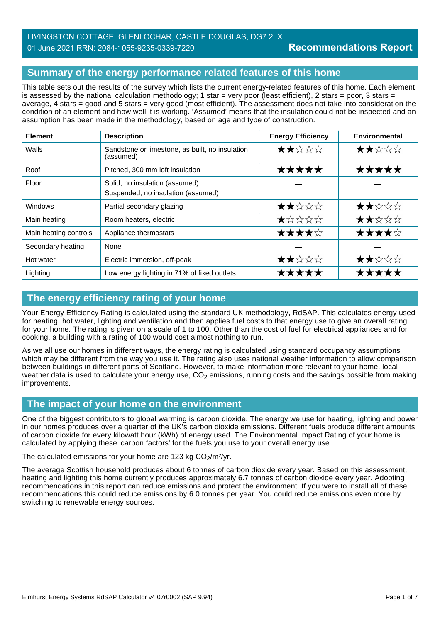## LIVINGSTON COTTAGE, GLENLOCHAR, CASTLE DOUGLAS, DG7 2LX 01 June 2021 RRN: 2084-1055-9235-0339-7220

## **Summary of the energy performance related features of this home**

This table sets out the results of the survey which lists the current energy-related features of this home. Each element is assessed by the national calculation methodology; 1 star = very poor (least efficient), 2 stars = poor, 3 stars = average, 4 stars = good and 5 stars = very good (most efficient). The assessment does not take into consideration the condition of an element and how well it is working. 'Assumed' means that the insulation could not be inspected and an assumption has been made in the methodology, based on age and type of construction.

| <b>Element</b>        | <b>Description</b>                                                   | <b>Energy Efficiency</b> | <b>Environmental</b> |
|-----------------------|----------------------------------------------------------------------|--------------------------|----------------------|
| Walls                 | Sandstone or limestone, as built, no insulation<br>(assumed)         | ★★☆☆☆                    | ★★☆☆☆                |
| Roof                  | Pitched, 300 mm loft insulation                                      | *****                    | *****                |
| Floor                 | Solid, no insulation (assumed)<br>Suspended, no insulation (assumed) |                          |                      |
| Windows               | Partial secondary glazing                                            | ★★☆☆☆                    | ★★☆☆☆                |
| Main heating          | Room heaters, electric                                               | $\bigstar$ * * * *       | ★★☆☆☆                |
| Main heating controls | Appliance thermostats                                                | ★★★★☆                    | ★★★★☆                |
| Secondary heating     | None                                                                 |                          |                      |
| Hot water             | Electric immersion, off-peak                                         | ★★☆☆☆                    | ★★☆☆☆                |
| Lighting              | Low energy lighting in 71% of fixed outlets                          | ★★★★★                    | *****                |

## **The energy efficiency rating of your home**

Your Energy Efficiency Rating is calculated using the standard UK methodology, RdSAP. This calculates energy used for heating, hot water, lighting and ventilation and then applies fuel costs to that energy use to give an overall rating for your home. The rating is given on a scale of 1 to 100. Other than the cost of fuel for electrical appliances and for cooking, a building with a rating of 100 would cost almost nothing to run.

As we all use our homes in different ways, the energy rating is calculated using standard occupancy assumptions which may be different from the way you use it. The rating also uses national weather information to allow comparison between buildings in different parts of Scotland. However, to make information more relevant to your home, local weather data is used to calculate your energy use,  $CO<sub>2</sub>$  emissions, running costs and the savings possible from making improvements.

## **The impact of your home on the environment**

One of the biggest contributors to global warming is carbon dioxide. The energy we use for heating, lighting and power in our homes produces over a quarter of the UK's carbon dioxide emissions. Different fuels produce different amounts of carbon dioxide for every kilowatt hour (kWh) of energy used. The Environmental Impact Rating of your home is calculated by applying these 'carbon factors' for the fuels you use to your overall energy use.

The calculated emissions for your home are 123 kg  $CO<sub>2</sub>/m<sup>2</sup>/yr$ .

The average Scottish household produces about 6 tonnes of carbon dioxide every year. Based on this assessment, heating and lighting this home currently produces approximately 6.7 tonnes of carbon dioxide every year. Adopting recommendations in this report can reduce emissions and protect the environment. If you were to install all of these recommendations this could reduce emissions by 6.0 tonnes per year. You could reduce emissions even more by switching to renewable energy sources.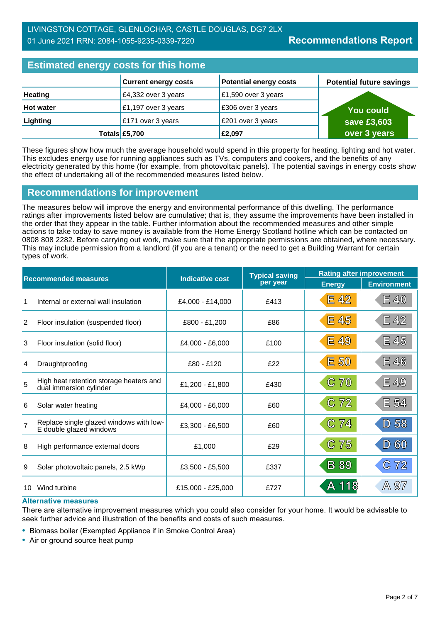## **Estimated energy costs for this home**

| <b>Editional city of the couple of the figure</b> |                             |                               |                                 |  |
|---------------------------------------------------|-----------------------------|-------------------------------|---------------------------------|--|
|                                                   | <b>Current energy costs</b> | <b>Potential energy costs</b> | <b>Potential future savings</b> |  |
| <b>Heating</b>                                    | £4,332 over 3 years         | £1,590 over 3 years           |                                 |  |
| <b>Hot water</b>                                  | £1,197 over 3 years         | £306 over 3 years             | You could                       |  |
| Lighting                                          | £171 over 3 years           | £201 over 3 years             | save £3,603                     |  |
|                                                   | Totals £5,700               | £2,097                        | over 3 years                    |  |

These figures show how much the average household would spend in this property for heating, lighting and hot water. This excludes energy use for running appliances such as TVs, computers and cookers, and the benefits of any electricity generated by this home (for example, from photovoltaic panels). The potential savings in energy costs show the effect of undertaking all of the recommended measures listed below.

## **Recommendations for improvement**

The measures below will improve the energy and environmental performance of this dwelling. The performance ratings after improvements listed below are cumulative; that is, they assume the improvements have been installed in the order that they appear in the table. Further information about the recommended measures and other simple actions to take today to save money is available from the Home Energy Scotland hotline which can be contacted on 0808 808 2282. Before carrying out work, make sure that the appropriate permissions are obtained, where necessary. This may include permission from a landlord (if you are a tenant) or the need to get a Building Warrant for certain types of work.

| <b>Recommended measures</b> |                                                                    |                        | <b>Typical saving</b> | <b>Rating after improvement</b>              |                    |
|-----------------------------|--------------------------------------------------------------------|------------------------|-----------------------|----------------------------------------------|--------------------|
|                             |                                                                    | <b>Indicative cost</b> | per year              | <b>Energy</b>                                | <b>Environment</b> |
|                             | Internal or external wall insulation                               | £4,000 - £14,000       | £413                  | E 42                                         | <b>E 40</b>        |
| 2                           | Floor insulation (suspended floor)                                 | £800 - £1,200          | £86                   | E 45                                         | E 42               |
| 3                           | Floor insulation (solid floor)                                     | £4,000 - £6,000        | £100                  | E 49                                         | E 45               |
| 4                           | Draughtproofing                                                    | £80 - £120             | £22                   | E 50                                         | E46                |
| 5                           | High heat retention storage heaters and<br>dual immersion cylinder | £1,200 - £1,800        | £430                  | C <sub>70</sub>                              | <b>E 49</b>        |
| 6                           | Solar water heating                                                | £4,000 - £6,000        | £60                   | 72<br>$\mathbb{C}% _{k}^{X\left( 1\right) }$ | E 54               |
| $\overline{7}$              | Replace single glazed windows with low-<br>E double glazed windows | £3,300 - £6,500        | £60                   | 74<br>$\mathbb{C}$                           | D 58               |
| 8                           | High performance external doors                                    | £1,000                 | £29                   | 75<br>$\mathbb{C}% _{n}^{X}$                 | 60<br> D           |
| 9                           | Solar photovoltaic panels, 2.5 kWp                                 | £3,500 - £5,500        | £337                  | <b>B</b> 89                                  | 72<br>$\mathbb{C}$ |
| 10                          | Wind turbine                                                       | £15,000 - £25,000      | £727                  | A 118                                        | A 97               |

#### **Alternative measures**

There are alternative improvement measures which you could also consider for your home. It would be advisable to seek further advice and illustration of the benefits and costs of such measures.

• Biomass boiler (Exempted Appliance if in Smoke Control Area)

• Air or ground source heat pump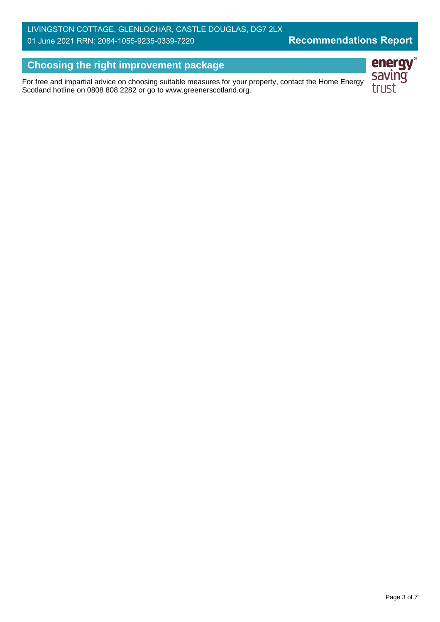## LIVINGSTON COTTAGE, GLENLOCHAR, CASTLE DOUGLAS, DG7 2LX 01 June 2021 RRN: 2084-1055-9235-0339-7220

## **Choosing the right improvement package**

For free and impartial advice on choosing suitable measures for your property, contact the Home Energy Scotland hotline on 0808 808 2282 or go to www.greenerscotland.org.

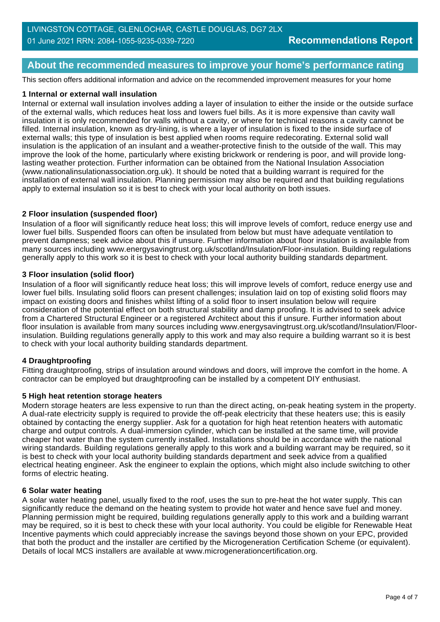## **About the recommended measures to improve your home's performance rating**

This section offers additional information and advice on the recommended improvement measures for your home

#### **1 Internal or external wall insulation**

Internal or external wall insulation involves adding a layer of insulation to either the inside or the outside surface of the external walls, which reduces heat loss and lowers fuel bills. As it is more expensive than cavity wall insulation it is only recommended for walls without a cavity, or where for technical reasons a cavity cannot be filled. Internal insulation, known as dry-lining, is where a layer of insulation is fixed to the inside surface of external walls; this type of insulation is best applied when rooms require redecorating. External solid wall insulation is the application of an insulant and a weather-protective finish to the outside of the wall. This may improve the look of the home, particularly where existing brickwork or rendering is poor, and will provide longlasting weather protection. Further information can be obtained from the National Insulation Association (www.nationalinsulationassociation.org.uk). It should be noted that a building warrant is required for the installation of external wall insulation. Planning permission may also be required and that building regulations apply to external insulation so it is best to check with your local authority on both issues.

#### **2 Floor insulation (suspended floor)**

Insulation of a floor will significantly reduce heat loss; this will improve levels of comfort, reduce energy use and lower fuel bills. Suspended floors can often be insulated from below but must have adequate ventilation to prevent dampness; seek advice about this if unsure. Further information about floor insulation is available from many sources including www.energysavingtrust.org.uk/scotland/Insulation/Floor-insulation. Building regulations generally apply to this work so it is best to check with your local authority building standards department.

#### **3 Floor insulation (solid floor)**

Insulation of a floor will significantly reduce heat loss; this will improve levels of comfort, reduce energy use and lower fuel bills. Insulating solid floors can present challenges; insulation laid on top of existing solid floors may impact on existing doors and finishes whilst lifting of a solid floor to insert insulation below will require consideration of the potential effect on both structural stability and damp proofing. It is advised to seek advice from a Chartered Structural Engineer or a registered Architect about this if unsure. Further information about floor insulation is available from many sources including www.energysavingtrust.org.uk/scotland/Insulation/Floorinsulation. Building regulations generally apply to this work and may also require a building warrant so it is best to check with your local authority building standards department.

#### **4 Draughtproofing**

Fitting draughtproofing, strips of insulation around windows and doors, will improve the comfort in the home. A contractor can be employed but draughtproofing can be installed by a competent DIY enthusiast.

#### **5 High heat retention storage heaters**

Modern storage heaters are less expensive to run than the direct acting, on-peak heating system in the property. A dual-rate electricity supply is required to provide the off-peak electricity that these heaters use; this is easily obtained by contacting the energy supplier. Ask for a quotation for high heat retention heaters with automatic charge and output controls. A dual-immersion cylinder, which can be installed at the same time, will provide cheaper hot water than the system currently installed. Installations should be in accordance with the national wiring standards. Building regulations generally apply to this work and a building warrant may be required, so it is best to check with your local authority building standards department and seek advice from a qualified electrical heating engineer. Ask the engineer to explain the options, which might also include switching to other forms of electric heating.

#### **6 Solar water heating**

A solar water heating panel, usually fixed to the roof, uses the sun to pre-heat the hot water supply. This can significantly reduce the demand on the heating system to provide hot water and hence save fuel and money. Planning permission might be required, building regulations generally apply to this work and a building warrant may be required, so it is best to check these with your local authority. You could be eligible for Renewable Heat Incentive payments which could appreciably increase the savings beyond those shown on your EPC, provided that both the product and the installer are certified by the Microgeneration Certification Scheme (or equivalent). Details of local MCS installers are available at www.microgenerationcertification.org.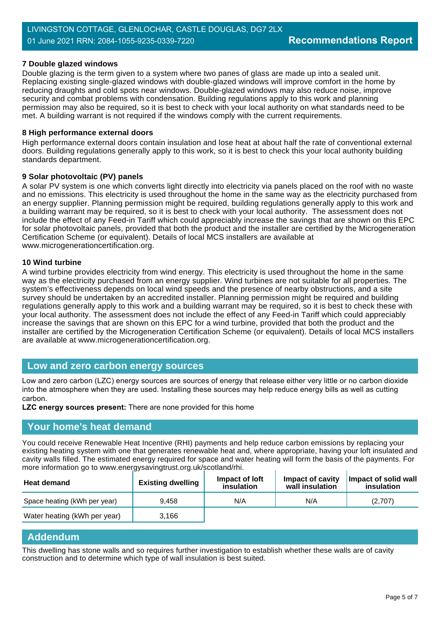#### **7 Double glazed windows**

Double glazing is the term given to a system where two panes of glass are made up into a sealed unit. Replacing existing single-glazed windows with double-glazed windows will improve comfort in the home by reducing draughts and cold spots near windows. Double-glazed windows may also reduce noise, improve security and combat problems with condensation. Building regulations apply to this work and planning permission may also be required, so it is best to check with your local authority on what standards need to be met. A building warrant is not required if the windows comply with the current requirements.

#### **8 High performance external doors**

High performance external doors contain insulation and lose heat at about half the rate of conventional external doors. Building regulations generally apply to this work, so it is best to check this your local authority building standards department.

#### **9 Solar photovoltaic (PV) panels**

A solar PV system is one which converts light directly into electricity via panels placed on the roof with no waste and no emissions. This electricity is used throughout the home in the same way as the electricity purchased from an energy supplier. Planning permission might be required, building regulations generally apply to this work and a building warrant may be required, so it is best to check with your local authority. The assessment does not include the effect of any Feed-in Tariff which could appreciably increase the savings that are shown on this EPC for solar photovoltaic panels, provided that both the product and the installer are certified by the Microgeneration Certification Scheme (or equivalent). Details of local MCS installers are available at www.microgenerationcertification.org.

#### **10 Wind turbine**

A wind turbine provides electricity from wind energy. This electricity is used throughout the home in the same way as the electricity purchased from an energy supplier. Wind turbines are not suitable for all properties. The system's effectiveness depends on local wind speeds and the presence of nearby obstructions, and a site survey should be undertaken by an accredited installer. Planning permission might be required and building regulations generally apply to this work and a building warrant may be required, so it is best to check these with your local authority. The assessment does not include the effect of any Feed-in Tariff which could appreciably increase the savings that are shown on this EPC for a wind turbine, provided that both the product and the installer are certified by the Microgeneration Certification Scheme (or equivalent). Details of local MCS installers are available at www.microgenerationcertification.org.

#### **Low and zero carbon energy sources**

Low and zero carbon (LZC) energy sources are sources of energy that release either very little or no carbon dioxide into the atmosphere when they are used. Installing these sources may help reduce energy bills as well as cutting carbon.

#### **LZC energy sources present:** There are none provided for this home

#### **Your home's heat demand**

You could receive Renewable Heat Incentive (RHI) payments and help reduce carbon emissions by replacing your existing heating system with one that generates renewable heat and, where appropriate, having your loft insulated and cavity walls filled. The estimated energy required for space and water heating will form the basis of the payments. For more information go to www.energysavingtrust.org.uk/scotland/rhi.

| <b>Heat demand</b>           | <b>Existing dwelling</b> | Impact of loft<br>insulation | Impact of cavity<br>wall insulation | Impact of solid wall<br>insulation |
|------------------------------|--------------------------|------------------------------|-------------------------------------|------------------------------------|
| Space heating (kWh per year) | 9.458                    | N/A                          | N/A                                 | (2.707)                            |
| Water heating (kWh per year) | 3.166                    |                              |                                     |                                    |

### **Addendum**

This dwelling has stone walls and so requires further investigation to establish whether these walls are of cavity construction and to determine which type of wall insulation is best suited.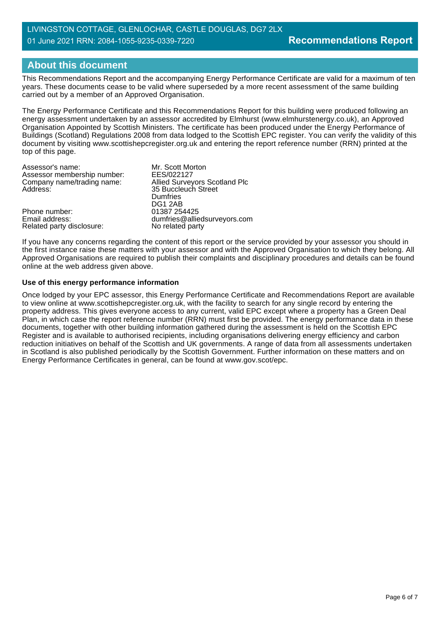## LIVINGSTON COTTAGE, GLENLOCHAR, CASTLE DOUGLAS, DG7 2LX 01 June 2021 RRN: 2084-1055-9235-0339-7220

## **About this document**

This Recommendations Report and the accompanying Energy Performance Certificate are valid for a maximum of ten years. These documents cease to be valid where superseded by a more recent assessment of the same building carried out by a member of an Approved Organisation.

The Energy Performance Certificate and this Recommendations Report for this building were produced following an energy assessment undertaken by an assessor accredited by Elmhurst (www.elmhurstenergy.co.uk), an Approved Organisation Appointed by Scottish Ministers. The certificate has been produced under the Energy Performance of Buildings (Scotland) Regulations 2008 from data lodged to the Scottish EPC register. You can verify the validity of this document by visiting www.scottishepcregister.org.uk and entering the report reference number (RRN) printed at the top of this page.

| Assessor's name:            | Mr. Scott Morton                     |
|-----------------------------|--------------------------------------|
| Assessor membership number: | EES/022127                           |
| Company name/trading name:  | <b>Allied Surveyors Scotland Plc</b> |
| Address:                    | 35 Buccleuch Street                  |
|                             | Dumfries                             |
|                             | DG1 2AB                              |
| Phone number:               | 01387 254425                         |
| Email address:              | dumfries@alliedsurveyors.com         |
| Related party disclosure:   | No related party                     |

If you have any concerns regarding the content of this report or the service provided by your assessor you should in the first instance raise these matters with your assessor and with the Approved Organisation to which they belong. All Approved Organisations are required to publish their complaints and disciplinary procedures and details can be found online at the web address given above.

#### **Use of this energy performance information**

Once lodged by your EPC assessor, this Energy Performance Certificate and Recommendations Report are available to view online at www.scottishepcregister.org.uk, with the facility to search for any single record by entering the property address. This gives everyone access to any current, valid EPC except where a property has a Green Deal Plan, in which case the report reference number (RRN) must first be provided. The energy performance data in these documents, together with other building information gathered during the assessment is held on the Scottish EPC Register and is available to authorised recipients, including organisations delivering energy efficiency and carbon reduction initiatives on behalf of the Scottish and UK governments. A range of data from all assessments undertaken in Scotland is also published periodically by the Scottish Government. Further information on these matters and on Energy Performance Certificates in general, can be found at www.gov.scot/epc.